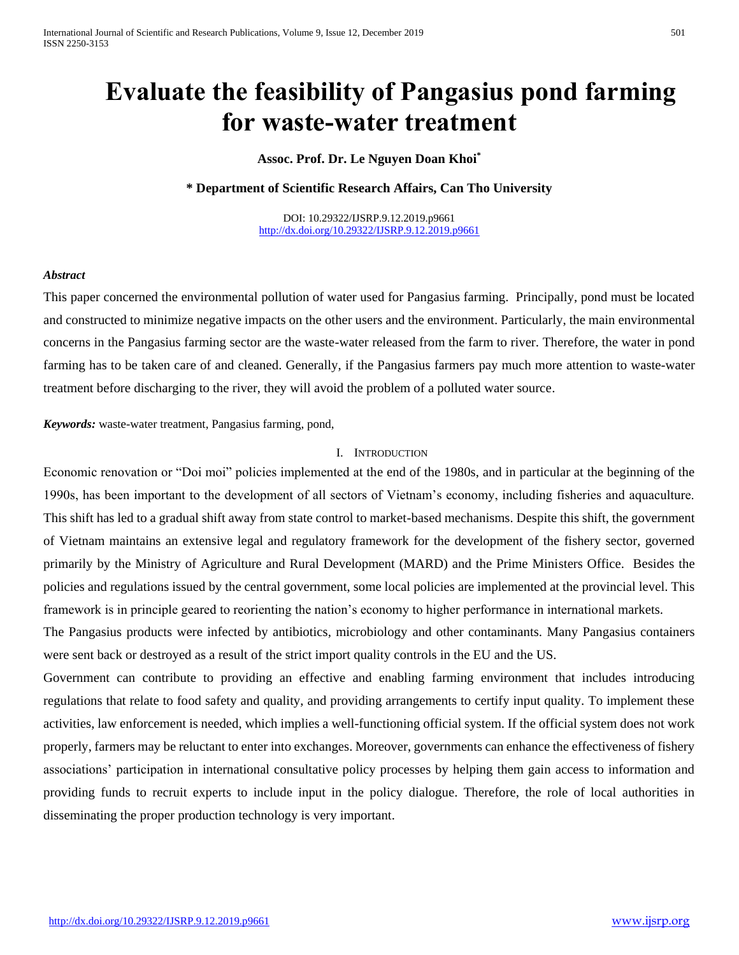# **Evaluate the feasibility of Pangasius pond farming for waste-water treatment**

## **Assoc. Prof. Dr. Le Nguyen Doan Khoi\***

**\* Department of Scientific Research Affairs, Can Tho University**

DOI: 10.29322/IJSRP.9.12.2019.p9661 <http://dx.doi.org/10.29322/IJSRP.9.12.2019.p9661>

#### *Abstract*

This paper concerned the environmental pollution of water used for Pangasius farming. Principally, pond must be located and constructed to minimize negative impacts on the other users and the environment. Particularly, the main environmental concerns in the Pangasius farming sector are the waste-water released from the farm to river. Therefore, the water in pond farming has to be taken care of and cleaned. Generally, if the Pangasius farmers pay much more attention to waste-water treatment before discharging to the river, they will avoid the problem of a polluted water source.

*Keywords:* waste-water treatment, Pangasius farming, pond,

#### I. INTRODUCTION

Economic renovation or "Doi moi" policies implemented at the end of the 1980s, and in particular at the beginning of the 1990s, has been important to the development of all sectors of Vietnam's economy, including fisheries and aquaculture. This shift has led to a gradual shift away from state control to market-based mechanisms. Despite this shift, the government of Vietnam maintains an extensive legal and regulatory framework for the development of the fishery sector, governed primarily by the Ministry of Agriculture and Rural Development (MARD) and the Prime Ministers Office. Besides the policies and regulations issued by the central government, some local policies are implemented at the provincial level. This framework is in principle geared to reorienting the nation's economy to higher performance in international markets.

The Pangasius products were infected by antibiotics, microbiology and other contaminants. Many Pangasius containers were sent back or destroyed as a result of the strict import quality controls in the EU and the US.

Government can contribute to providing an effective and enabling farming environment that includes introducing regulations that relate to food safety and quality, and providing arrangements to certify input quality. To implement these activities, law enforcement is needed, which implies a well-functioning official system. If the official system does not work properly, farmers may be reluctant to enter into exchanges. Moreover, governments can enhance the effectiveness of fishery associations' participation in international consultative policy processes by helping them gain access to information and providing funds to recruit experts to include input in the policy dialogue. Therefore, the role of local authorities in disseminating the proper production technology is very important.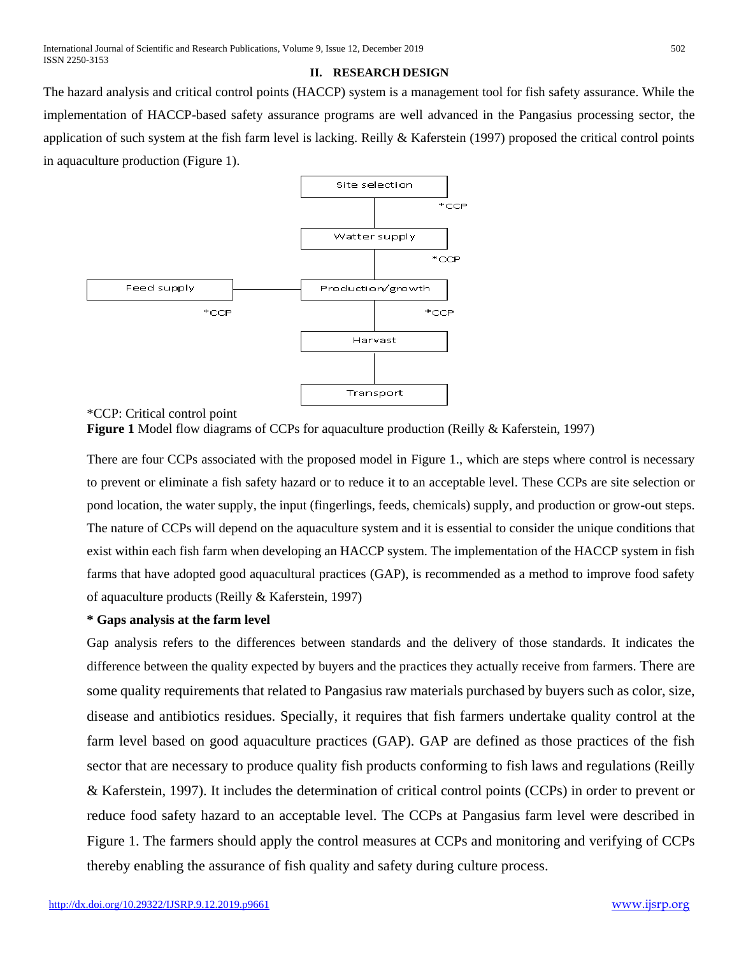#### **II. RESEARCH DESIGN**

The hazard analysis and critical control points (HACCP) system is a management tool for fish safety assurance. While the implementation of HACCP-based safety assurance programs are well advanced in the Pangasius processing sector, the application of such system at the fish farm level is lacking. Reilly & Kaferstein (1997) proposed the critical control points in aquaculture production (Figure 1).



\*CCP: Critical control point

**Figure 1** Model flow diagrams of CCPs for aquaculture production (Reilly & Kaferstein, 1997)

There are four CCPs associated with the proposed model in Figure 1., which are steps where control is necessary to prevent or eliminate a fish safety hazard or to reduce it to an acceptable level. These CCPs are site selection or pond location, the water supply, the input (fingerlings, feeds, chemicals) supply, and production or grow-out steps. The nature of CCPs will depend on the aquaculture system and it is essential to consider the unique conditions that exist within each fish farm when developing an HACCP system. The implementation of the HACCP system in fish farms that have adopted good aquacultural practices (GAP), is recommended as a method to improve food safety of aquaculture products (Reilly & Kaferstein, 1997)

#### **\* Gaps analysis at the farm level**

Gap analysis refers to the differences between standards and the delivery of those standards. It indicates the difference between the quality expected by buyers and the practices they actually receive from farmers. There are some quality requirements that related to Pangasius raw materials purchased by buyers such as color, size, disease and antibiotics residues. Specially, it requires that fish farmers undertake quality control at the farm level based on good aquaculture practices (GAP). GAP are defined as those practices of the fish sector that are necessary to produce quality fish products conforming to fish laws and regulations (Reilly & Kaferstein, 1997). It includes the determination of critical control points (CCPs) in order to prevent or reduce food safety hazard to an acceptable level. The CCPs at Pangasius farm level were described in Figure 1. The farmers should apply the control measures at CCPs and monitoring and verifying of CCPs thereby enabling the assurance of fish quality and safety during culture process.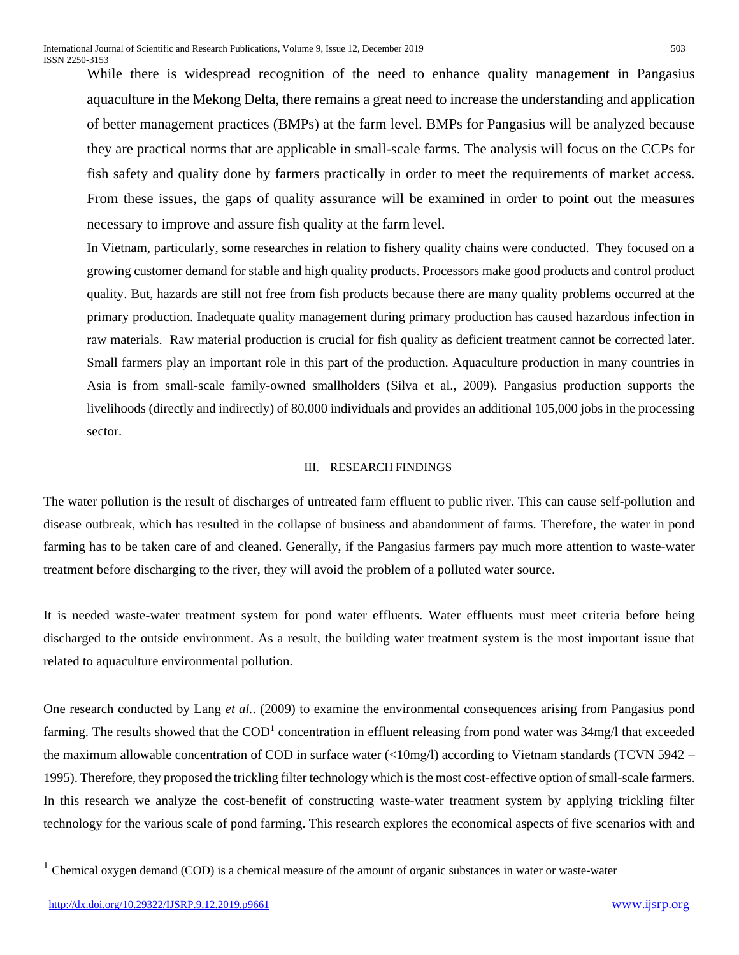While there is widespread recognition of the need to enhance quality management in Pangasius aquaculture in the Mekong Delta, there remains a great need to increase the understanding and application of better management practices (BMPs) at the farm level. BMPs for Pangasius will be analyzed because they are practical norms that are applicable in small-scale farms. The analysis will focus on the CCPs for fish safety and quality done by farmers practically in order to meet the requirements of market access. From these issues, the gaps of quality assurance will be examined in order to point out the measures necessary to improve and assure fish quality at the farm level.

In Vietnam, particularly, some researches in relation to fishery quality chains were conducted. They focused on a growing customer demand for stable and high quality products. Processors make good products and control product quality. But, hazards are still not free from fish products because there are many quality problems occurred at the primary production. Inadequate quality management during primary production has caused hazardous infection in raw materials. Raw material production is crucial for fish quality as deficient treatment cannot be corrected later. Small farmers play an important role in this part of the production. Aquaculture production in many countries in Asia is from small-scale family-owned smallholders (Silva et al., 2009). Pangasius production supports the livelihoods (directly and indirectly) of 80,000 individuals and provides an additional 105,000 jobs in the processing sector.

#### III. RESEARCH FINDINGS

The water pollution is the result of discharges of untreated farm effluent to public river. This can cause self-pollution and disease outbreak, which has resulted in the collapse of business and abandonment of farms. Therefore, the water in pond farming has to be taken care of and cleaned. Generally, if the Pangasius farmers pay much more attention to waste-water treatment before discharging to the river, they will avoid the problem of a polluted water source.

It is needed waste-water treatment system for pond water effluents. Water effluents must meet criteria before being discharged to the outside environment. As a result, the building water treatment system is the most important issue that related to aquaculture environmental pollution.

One research conducted by Lang *et al.*. (2009) to examine the environmental consequences arising from Pangasius pond farming. The results showed that the  $\text{COD}^1$  concentration in effluent releasing from pond water was 34mg/l that exceeded the maximum allowable concentration of COD in surface water  $\left($ <10mg/l) according to Vietnam standards (TCVN 5942 – 1995). Therefore, they proposed the trickling filter technology which is the most cost-effective option of small-scale farmers. In this research we analyze the cost-benefit of constructing waste-water treatment system by applying trickling filter technology for the various scale of pond farming. This research explores the economical aspects of five scenarios with and

 $\overline{a}$ 

 $<sup>1</sup>$  Chemical oxygen demand (COD) is a chemical measure of the amount of organic substances in water or waste-water</sup>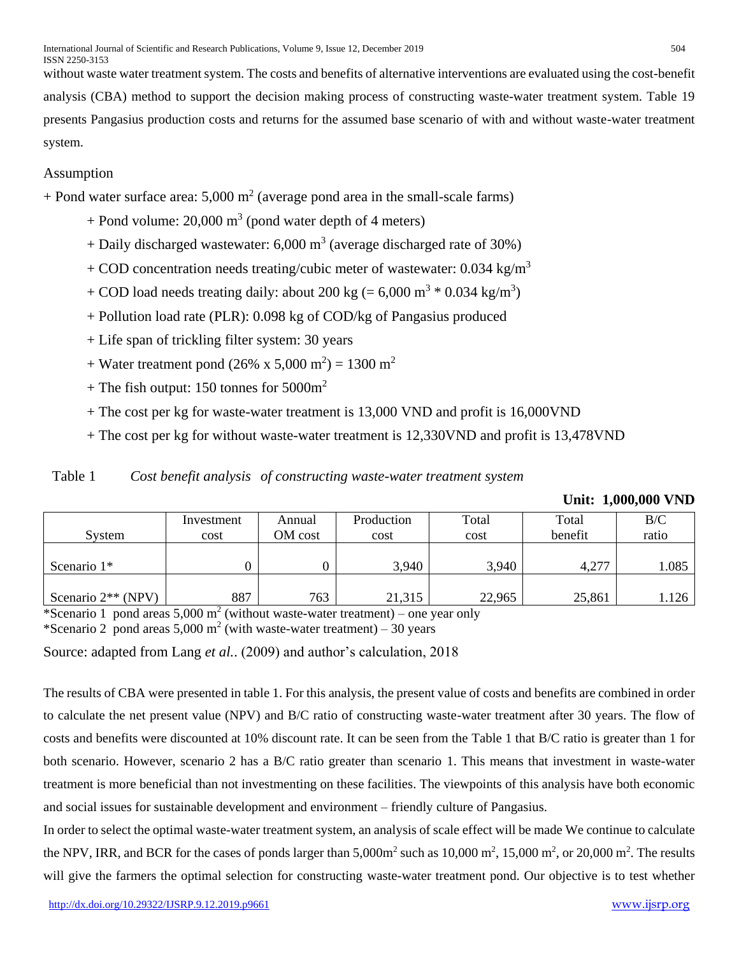without waste water treatment system. The costs and benefits of alternative interventions are evaluated using the cost-benefit analysis (CBA) method to support the decision making process of constructing waste-water treatment system. Table 19 presents Pangasius production costs and returns for the assumed base scenario of with and without waste-water treatment system.

# Assumption

 $+$  Pond water surface area: 5,000 m<sup>2</sup> (average pond area in the small-scale farms)

- + Pond volume: 20,000  $\text{m}^3$  (pond water depth of 4 meters)
- + Daily discharged wastewater: 6,000  $m<sup>3</sup>$  (average discharged rate of 30%)
- + COD concentration needs treating/cubic meter of wastewater:  $0.034 \text{ kg/m}^3$
- + COD load needs treating daily: about 200 kg (=  $6,000 \text{ m}^3 * 0.034 \text{ kg/m}^3$ )
- + Pollution load rate (PLR): 0.098 kg of COD/kg of Pangasius produced
- + Life span of trickling filter system: 30 years
- + Water treatment pond (26% x 5,000 m<sup>2</sup>) = 1300 m<sup>2</sup>
- + The fish output: 150 tonnes for  $5000m^2$
- + The cost per kg for waste-water treatment is 13,000 VND and profit is 16,000VND
- + The cost per kg for without waste-water treatment is 12,330VND and profit is 13,478VND

|  | Table 1 | Cost benefit analysis of constructing waste-water treatment system |
|--|---------|--------------------------------------------------------------------|
|--|---------|--------------------------------------------------------------------|

|  | Unit: 1,000,000 VND |  |
|--|---------------------|--|
|--|---------------------|--|

| System               | Investment<br>cost | Annual<br>OM cost | Production<br>cost | Total<br>cost | Total<br>benefit | B/C<br>ratio |  |
|----------------------|--------------------|-------------------|--------------------|---------------|------------------|--------------|--|
| Scenario $1*$        |                    |                   | 3,940              | 3,940         | 4,277            | 1.085        |  |
| Scenario $2**$ (NPV) | 887                | 763               | 21,315             | 22,965        | 25,861           | 1.126        |  |

\*Scenario 1 pond areas 5,000 m<sup>2</sup> (without waste-water treatment) – one year only

\*Scenario 2 pond areas  $5,000 \text{ m}^2$  (with waste-water treatment) – 30 years

Source: adapted from Lang *et al.*. (2009) and author's calculation, 2018

The results of CBA were presented in table 1. For this analysis, the present value of costs and benefits are combined in order to calculate the net present value (NPV) and B/C ratio of constructing waste-water treatment after 30 years. The flow of costs and benefits were discounted at 10% discount rate. It can be seen from the Table 1 that B/C ratio is greater than 1 for both scenario. However, scenario 2 has a B/C ratio greater than scenario 1. This means that investment in waste-water treatment is more beneficial than not investmenting on these facilities. The viewpoints of this analysis have both economic and social issues for sustainable development and environment – friendly culture of Pangasius.

In order to select the optimal waste-water treatment system, an analysis of scale effect will be made We continue to calculate the NPV, IRR, and BCR for the cases of ponds larger than  $5,000m^2$  such as  $10,000 m^2$ ,  $15,000 m^2$ , or  $20,000 m^2$ . The results will give the farmers the optimal selection for constructing waste-water treatment pond. Our objective is to test whether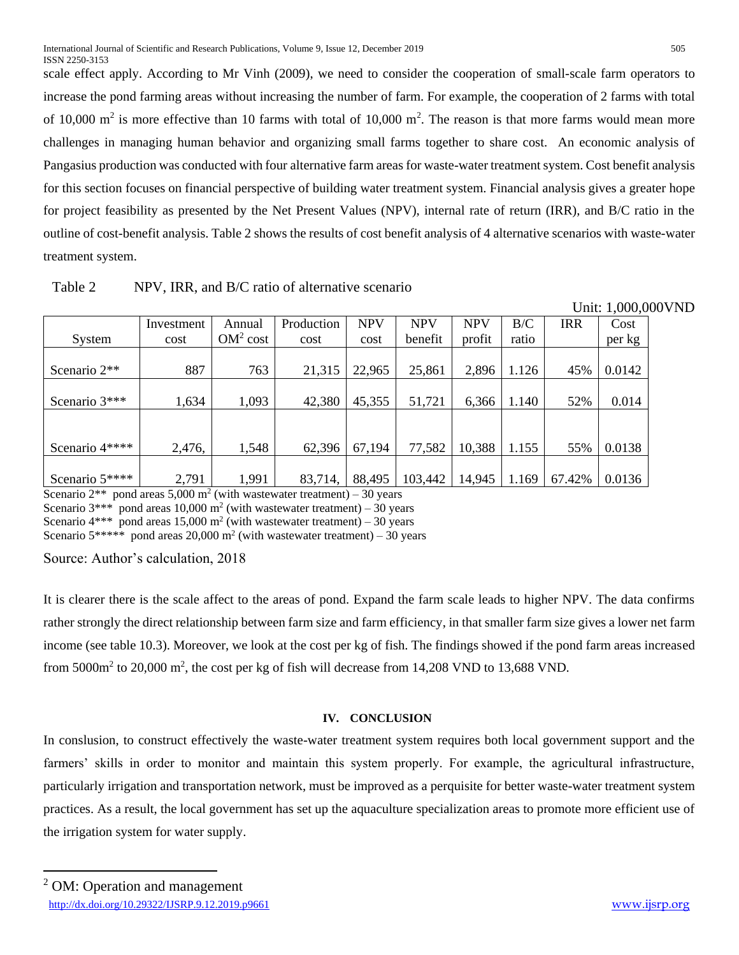scale effect apply. According to Mr Vinh (2009), we need to consider the cooperation of small-scale farm operators to increase the pond farming areas without increasing the number of farm. For example, the cooperation of 2 farms with total of 10,000  $m^2$  is more effective than 10 farms with total of 10,000  $m^2$ . The reason is that more farms would mean more challenges in managing human behavior and organizing small farms together to share cost. An economic analysis of Pangasius production was conducted with four alternative farm areas for waste-water treatment system. Cost benefit analysis for this section focuses on financial perspective of building water treatment system. Financial analysis gives a greater hope for project feasibility as presented by the Net Present Values (NPV), internal rate of return (IRR), and B/C ratio in the outline of cost-benefit analysis. Table 2 shows the results of cost benefit analysis of 4 alternative scenarios with waste-water treatment system.

| Table 2 | NPV, IRR, and B/C ratio of alternative scenario |  |
|---------|-------------------------------------------------|--|
|---------|-------------------------------------------------|--|

|                |            |                      |            |            |            |            |       |            | Unit: 1,000,000VND |  |
|----------------|------------|----------------------|------------|------------|------------|------------|-------|------------|--------------------|--|
|                | Investment | Annual               | Production | <b>NPV</b> | <b>NPV</b> | <b>NPV</b> | B/C   | <b>IRR</b> | Cost               |  |
| System         | cost       | OM <sup>2</sup> cost | cost       | cost       | benefit    | profit     | ratio |            | per kg             |  |
|                |            |                      |            |            |            |            |       |            |                    |  |
| Scenario 2**   | 887        | 763                  | 21,315     | 22,965     | 25,861     | 2,896      | 1.126 | 45%        | 0.0142             |  |
|                |            |                      |            |            |            |            |       |            |                    |  |
| Scenario 3***  | 1,634      | 1,093                | 42,380     | 45,355     | 51,721     | 6,366      | 1.140 | 52%        | 0.014              |  |
|                |            |                      |            |            |            |            |       |            |                    |  |
|                |            |                      |            |            |            |            |       |            |                    |  |
| Scenario 4**** | 2,476,     | 1,548                | 62,396     | 67,194     | 77,582     | 10,388     | 1.155 | 55%        | 0.0138             |  |
|                |            |                      |            |            |            |            |       |            |                    |  |
| Scenario 5**** | 2,791      | 1,991                | 83,714,    | 88,495     | 103,442    | 14,945     | 1.169 | 67.42%     | 0.0136             |  |

Scenario  $2^{**}$  pond areas 5,000 m<sup>2</sup> (with wastewater treatment) – 30 years

Scenario  $3***$  pond areas 10,000 m<sup>2</sup> (with wastewater treatment) – 30 years

Scenario  $4***$  pond areas 15,000 m<sup>2</sup> (with wastewater treatment) – 30 years

Scenario  $5*****$  pond areas 20,000 m<sup>2</sup> (with wastewater treatment) – 30 years

Source: Author's calculation, 2018

It is clearer there is the scale affect to the areas of pond. Expand the farm scale leads to higher NPV. The data confirms rather strongly the direct relationship between farm size and farm efficiency, in that smaller farm size gives a lower net farm income (see table 10.3). Moreover, we look at the cost per kg of fish. The findings showed if the pond farm areas increased from  $5000m^2$  to  $20,000 m^2$ , the cost per kg of fish will decrease from 14,208 VND to 13,688 VND.

## **IV. CONCLUSION**

In conslusion, to construct effectively the waste-water treatment system requires both local government support and the farmers' skills in order to monitor and maintain this system properly. For example, the agricultural infrastructure, particularly irrigation and transportation network, must be improved as a perquisite for better waste-water treatment system practices. As a result, the local government has set up the aquaculture specialization areas to promote more efficient use of the irrigation system for water supply.